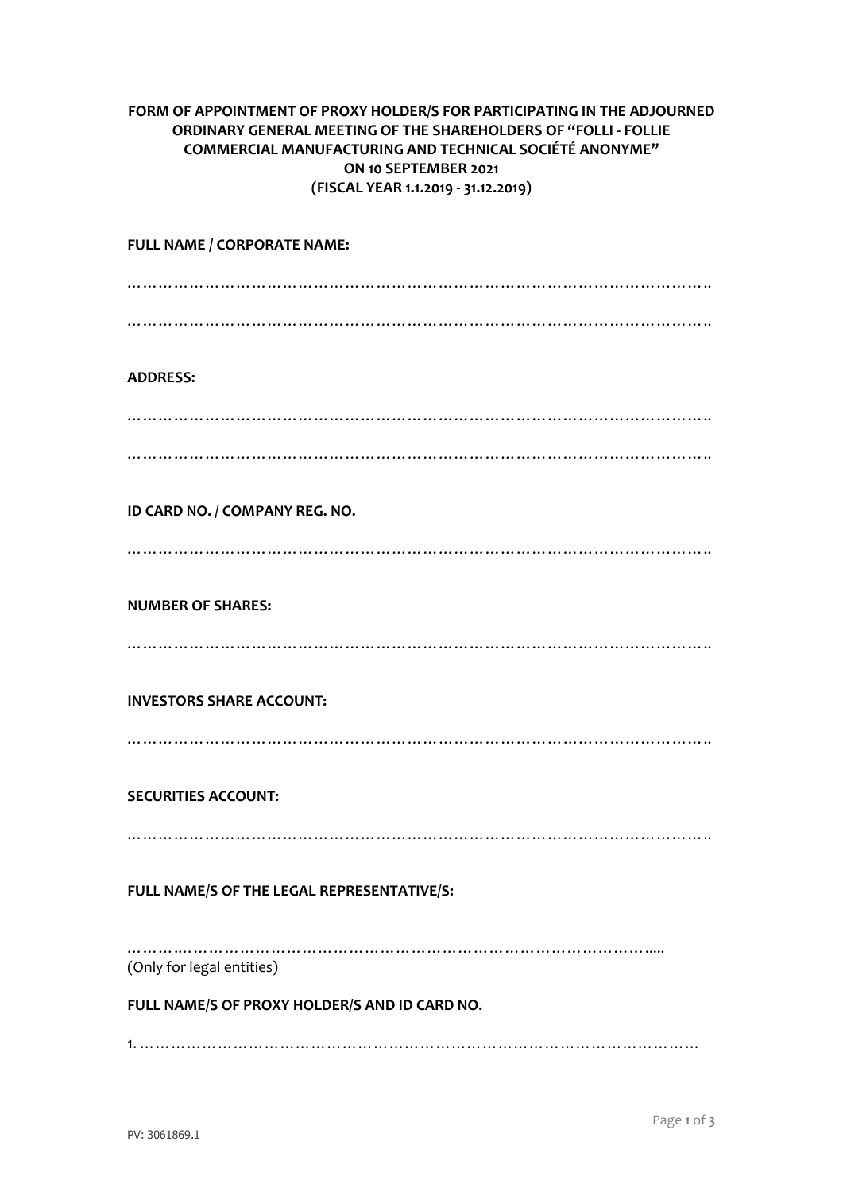## **FORM OF APPOINTMENT OF PROXY HOLDER/S FOR PARTICIPATING IN THE ADJOURNED ORDINARY GENERAL MEETING OF THE SHAREHOLDERS OF "FOLLI - FOLLIE COMMERCIAL MANUFACTURING AND TECHNICAL SOCIÉTÉ ANONYME" ON 10 SEPTEMBER 2021 (FISCAL YEAR 1.1.2019 - 31.12.2019)**

**FULL NAME / CORPORATE NAME:** ………………………………………………………………………………………………….. ………………………………………………………………………………………………….. **ADDRESS:** ………………………………………………………………………………………………….. ………………………………………………………………………………………………….. **ID CARD NO. / COMPANY REG. NO.** ………………………………………………………………………………………………….. **NUMBER OF SHARES:** ………………………………………………………………………………………………….. **INVESTORS SHARE ACCOUNT:** ………………………………………………………………………………………………….. **SECURITIES ACCOUNT:** ………………………………………………………………………………………………….. **FULL NAME/S OF THE LEGAL REPRESENTATIVE/S:** …………………………………………………………………………………………… (Only for legal entities) **FULL NAME/S OF PROXY HOLDER/S AND ID CARD NO.**

1. ………………………………………………………………………………………………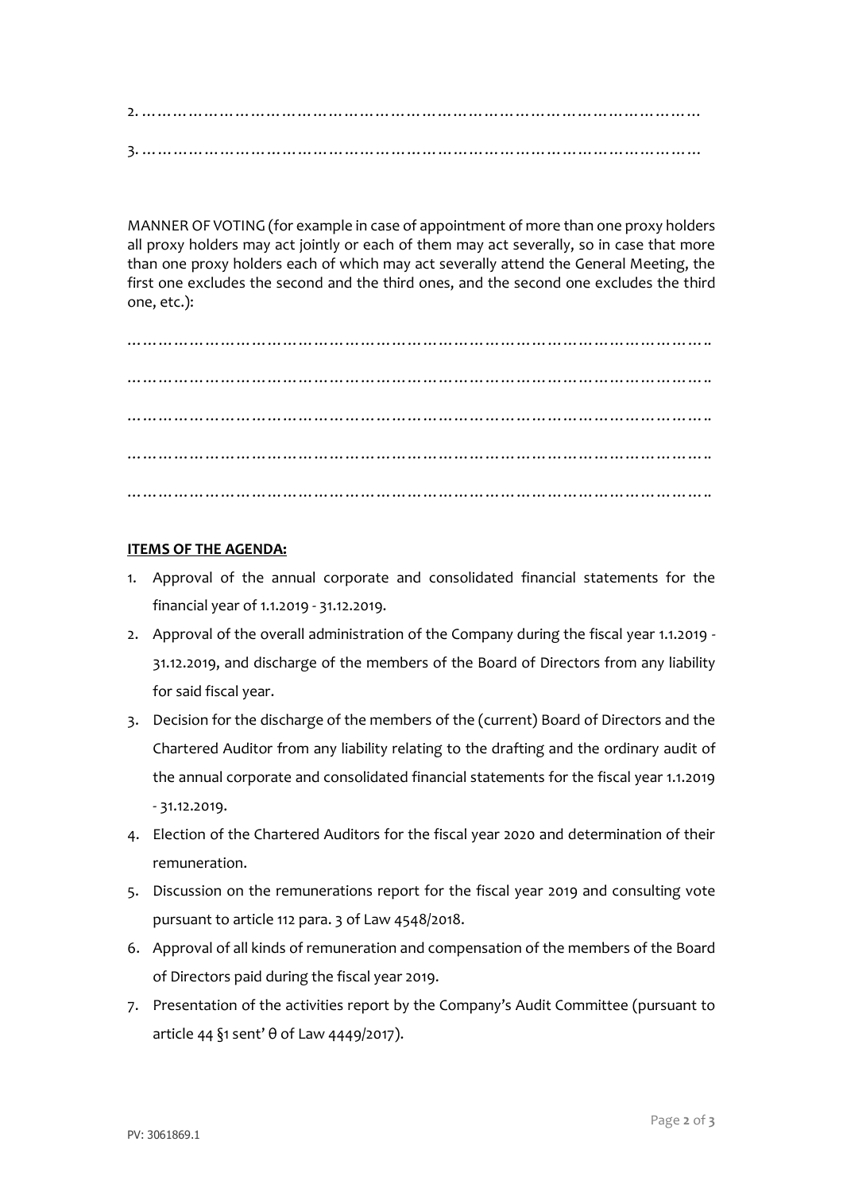2. ……………………………………………………………………………………………… 3. ………………………………………………………………………………………………

MANNER OF VOTING (for example in case of appointment of more than one proxy holders all proxy holders may act jointly or each of them may act severally, so in case that more than one proxy holders each of which may act severally attend the General Meeting, the first one excludes the second and the third ones, and the second one excludes the third one, etc.):

………………………………………………………………………………………………….. ………………………………………………………………………………………………….. ………………………………………………………………………………………………….. ………………………………………………………………………………………………….. …………………………………………………………………………………………………..

## **ITEMS OF THE AGENDA:**

- 1. Approval of the annual corporate and consolidated financial statements for the financial year of 1.1.2019 - 31.12.2019.
- 2. Approval of the overall administration of the Company during the fiscal year 1.1.2019 31.12.2019, and discharge of the members of the Board of Directors from any liability for said fiscal year.
- 3. Decision for the discharge of the members of the (current) Board of Directors and the Chartered Auditor from any liability relating to the drafting and the ordinary audit of the annual corporate and consolidated financial statements for the fiscal year 1.1.2019 - 31.12.2019.
- 4. Election of the Chartered Auditors for the fiscal year 2020 and determination of their remuneration.
- 5. Discussion on the remunerations report for the fiscal year 2019 and consulting vote pursuant to article 112 para. 3 of Law 4548/2018.
- 6. Approval of all kinds of remuneration and compensation of the members of the Board of Directors paid during the fiscal year 2019.
- 7. Presentation of the activities report by the Company's Audit Committee (pursuant to article 44 §1 sent' θ of Law 4449/2017).